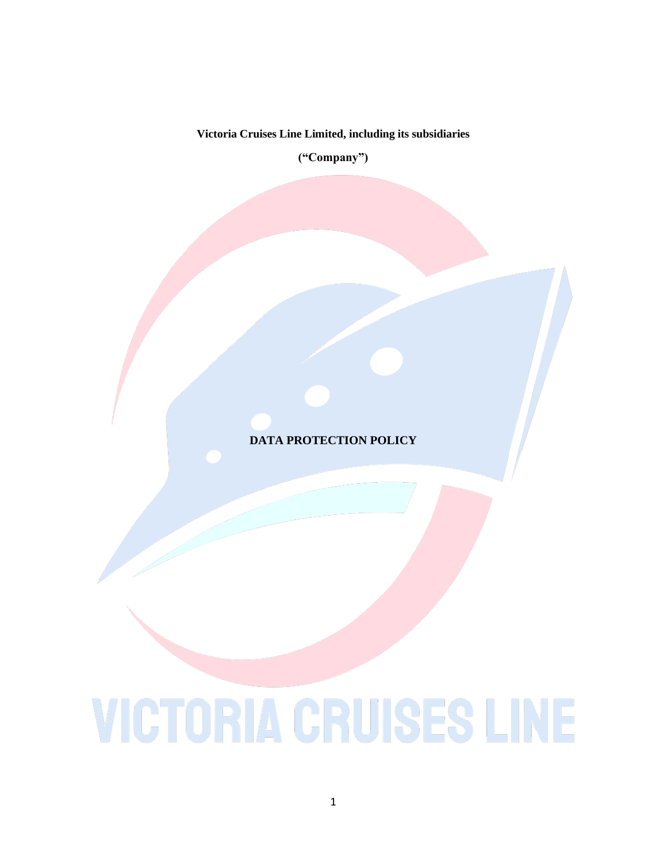## **Victoria Cruises Line Limited, including its subsidiaries**

**("Company")**

**DATA PROTECTION POLICY**

## **VICTORIA CRUISES LINE**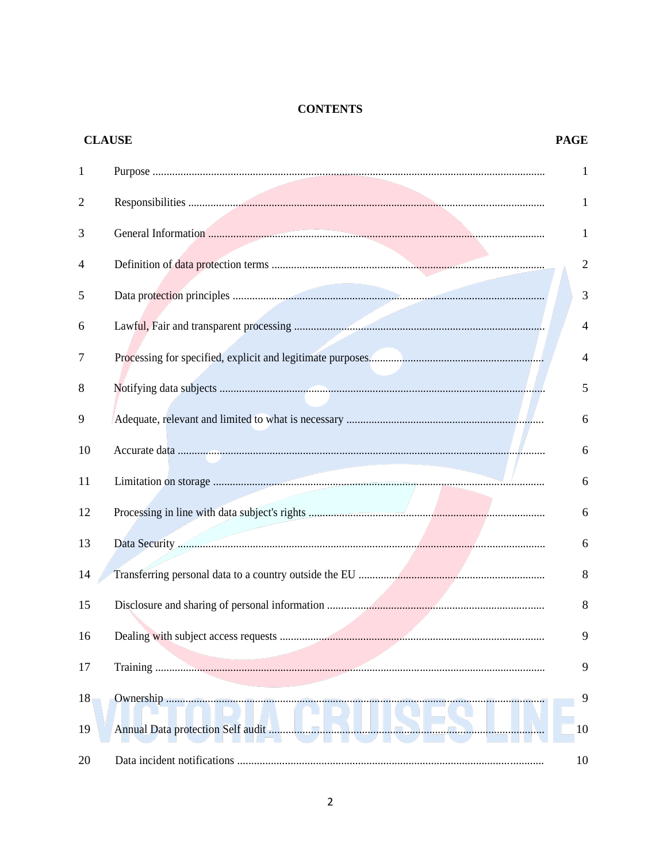## **CONTENTS**

| <b>CLAUSE</b>  |  | <b>PAGE</b>    |
|----------------|--|----------------|
| $\mathbf{1}$   |  | 1              |
| $\overline{2}$ |  | 1              |
| 3              |  | 1              |
| 4              |  | $\overline{2}$ |
| 5              |  | 3              |
| 6              |  | $\overline{4}$ |
| 7              |  | $\overline{4}$ |
| 8              |  | 5              |
| 9              |  | 6              |
| 10             |  | 6              |
| 11             |  | 6              |
| 12             |  | 6              |
| 13             |  | 6              |
| 14             |  | $\,8\,$        |
| 15             |  | 8              |
| 16             |  | 9              |
| 17             |  | 9              |
| 18             |  | 9              |
| 19             |  | 10             |
| 20             |  | 10             |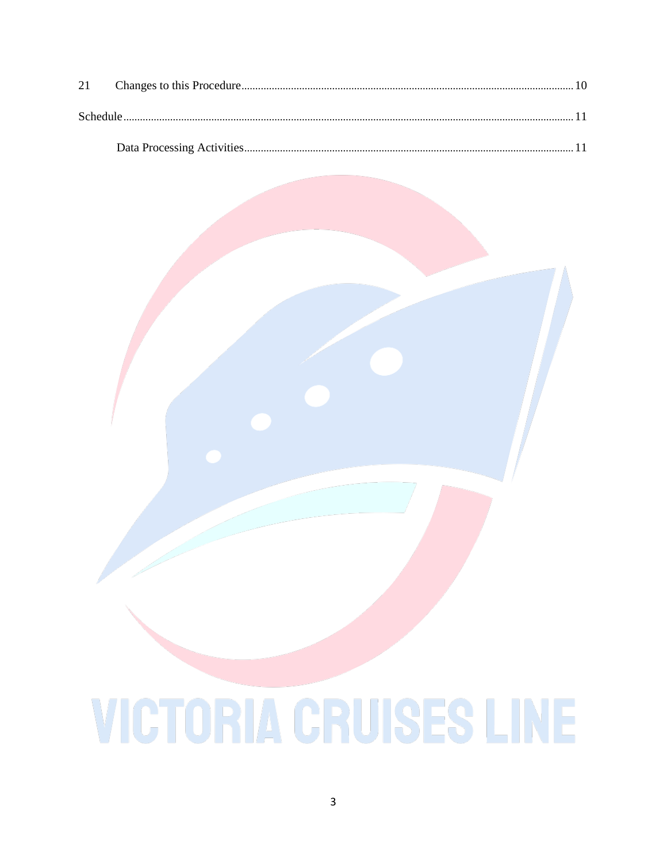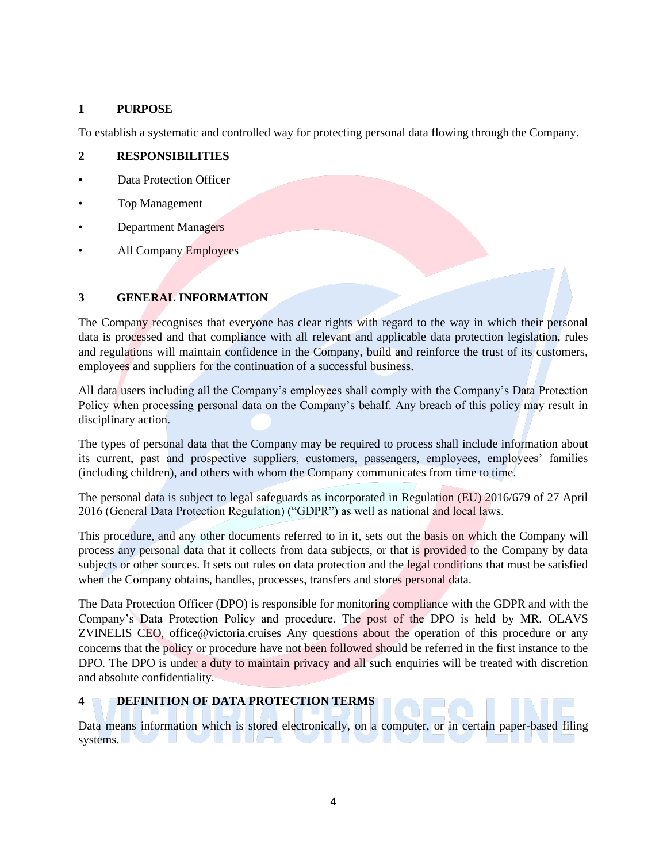## **1 PURPOSE**

To establish a systematic and controlled way for protecting personal data flowing through the Company.

## **2 RESPONSIBILITIES**

- Data Protection Officer
- Top Management
- Department Managers
- All Company Employees

## **3 GENERAL INFORMATION**

The Company recognises that everyone has clear rights with regard to the way in which their personal data is processed and that compliance with all relevant and applicable data protection legislation, rules and regulations will maintain confidence in the Company, build and reinforce the trust of its customers, employees and suppliers for the continuation of a successful business.

All data users including all the Company's employees shall comply with the Company's Data Protection Policy when processing personal data on the Company's behalf. Any breach of this policy may result in disciplinary action.

The types of personal data that the Company may be required to process shall include information about its current, past and prospective suppliers, customers, passengers, employees, employees' families (including children), and others with whom the Company communicates from time to time.

The personal data is subject to legal safeguards as incorporated in Regulation (EU) 2016/679 of 27 April 2016 (General Data Protection Regulation) ("GDPR") as well as national and local laws.

This procedure, and any other documents referred to in it, sets out the basis on which the Company will process any personal data that it collects from data subjects, or that is provided to the Company by data subjects or other sources. It sets out rules on data protection and the legal conditions that must be satisfied when the Company obtains, handles, processes, transfers and stores personal data.

The Data Protection Officer (DPO) is responsible for monitoring compliance with the GDPR and with the Company's Data Protection Policy and procedure. The post of the DPO is held by MR. OLAVS ZVINELIS CEO, office@victoria.cruises Any questions about the operation of this procedure or any concerns that the policy or procedure have not been followed should be referred in the first instance to the DPO. The DPO is under a duty to maintain privacy and all such enquiries will be treated with discretion and absolute confidentiality.

## **4 DEFINITION OF DATA PROTECTION TERMS**

Data means information which is stored electronically, on a computer, or in certain paper-based filing systems.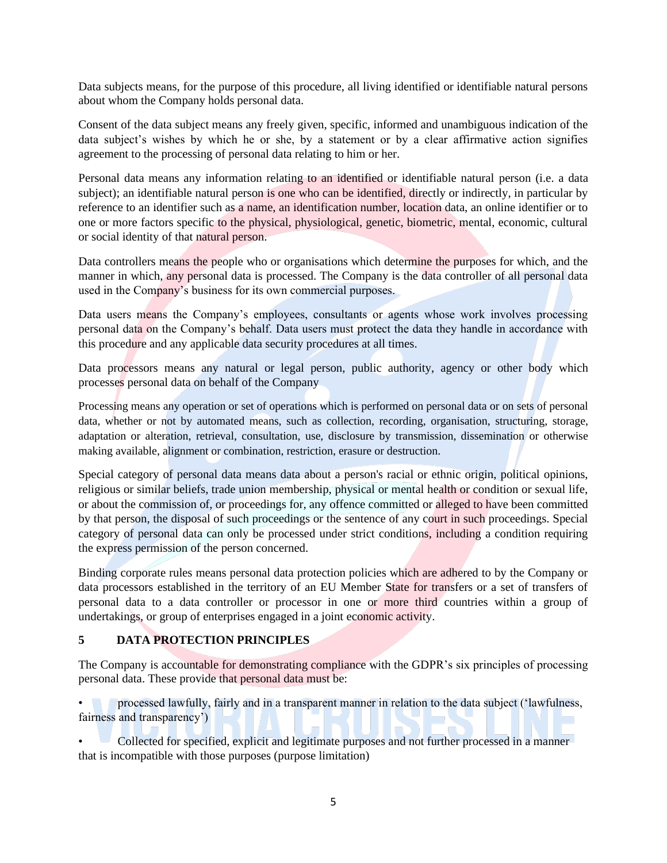Data subjects means, for the purpose of this procedure, all living identified or identifiable natural persons about whom the Company holds personal data.

Consent of the data subject means any freely given, specific, informed and unambiguous indication of the data subject's wishes by which he or she, by a statement or by a clear affirmative action signifies agreement to the processing of personal data relating to him or her.

Personal data means any information relating to an identified or identifiable natural person (i.e. a data subject); an identifiable natural person is one who can be identified, directly or indirectly, in particular by reference to an identifier such as a name, an identification number, location data, an online identifier or to one or more factors specific to the physical, physiological, genetic, biometric, mental, economic, cultural or social identity of that natural person.

Data controllers means the people who or organisations which determine the purposes for which, and the manner in which, any personal data is processed. The Company is the data controller of all personal data used in the Company's business for its own commercial purposes.

Data users means the Company's employees, consultants or agents whose work involves processing personal data on the Company's behalf. Data users must protect the data they handle in accordance with this procedure and any applicable data security procedures at all times.

Data processors means any natural or legal person, public authority, agency or other body which processes personal data on behalf of the Company

Processing means any operation or set of operations which is performed on personal data or on sets of personal data, whether or not by automated means, such as collection, recording, organisation, structuring, storage, adaptation or alteration, retrieval, consultation, use, disclosure by transmission, dissemination or otherwise making available, alignment or combination, restriction, erasure or destruction.

Special category of personal data means data about a person's racial or ethnic origin, political opinions, religious or similar beliefs, trade union membership, physical or mental health or condition or sexual life, or about the commission of, or proceedings for, any offence committed or alleged to have been committed by that person, the disposal of such proceedings or the sentence of any court in such proceedings. Special category of personal data can only be processed under strict conditions, including a condition requiring the express permission of the person concerned.

Binding corporate rules means personal data protection policies which are adhered to by the Company or data processors established in the territory of an EU Member State for transfers or a set of transfers of personal data to a data controller or processor in one or more third countries within a group of undertakings, or group of enterprises engaged in a joint economic activity.

## **5 DATA PROTECTION PRINCIPLES**

The Company is accountable for demonstrating compliance with the GDPR's six principles of processing personal data. These provide that personal data must be:

• processed lawfully, fairly and in a transparent manner in relation to the data subject ('lawfulness, fairness and transparency')

• Collected for specified, explicit and legitimate purposes and not further processed in a manner that is incompatible with those purposes (purpose limitation)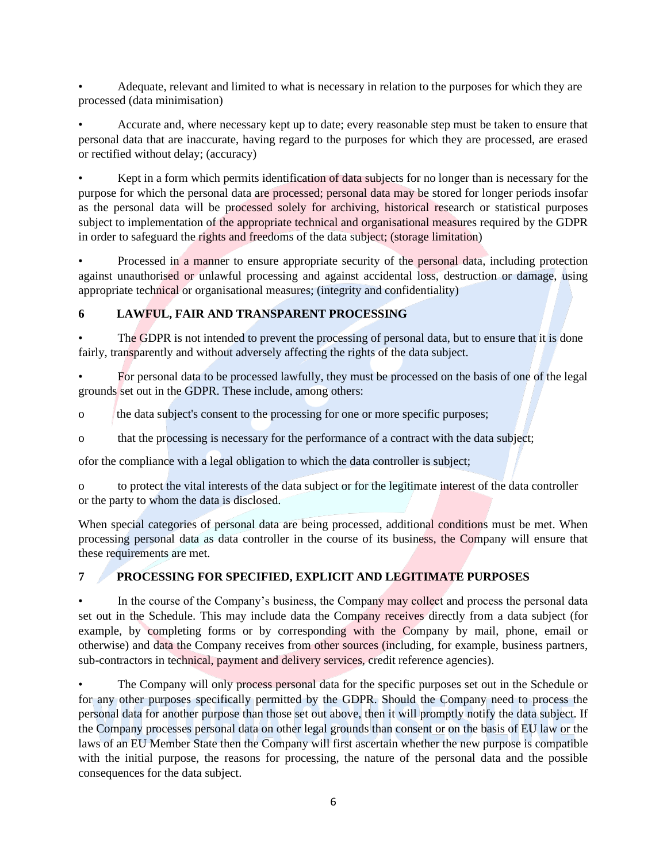• Adequate, relevant and limited to what is necessary in relation to the purposes for which they are processed (data minimisation)

• Accurate and, where necessary kept up to date; every reasonable step must be taken to ensure that personal data that are inaccurate, having regard to the purposes for which they are processed, are erased or rectified without delay; (accuracy)

• Kept in a form which permits identification of data subjects for no longer than is necessary for the purpose for which the personal data are processed; personal data may be stored for longer periods insofar as the personal data will be processed solely for archiving, historical research or statistical purposes subject to implementation of the appropriate technical and organisational measures required by the GDPR in order to safeguard the rights and freedoms of the data subject; (storage limitation)

• Processed in a manner to ensure appropriate security of the personal data, including protection against unauthorised or unlawful processing and against accidental loss, destruction or damage, using appropriate technical or organisational measures; (integrity and confidentiality)

## **6 LAWFUL, FAIR AND TRANSPARENT PROCESSING**

The GDPR is not intended to prevent the processing of personal data, but to ensure that it is done fairly, transparently and without adversely affecting the rights of the data subject.

• For personal data to be processed lawfully, they must be processed on the basis of one of the legal grounds set out in the GDPR. These include, among others:

o the data subject's consent to the processing for one or more specific purposes;

o that the processing is necessary for the performance of a contract with the data subject;

ofor the compliance with a legal obligation to which the data controller is subject;

o to protect the vital interests of the data subject or for the legitimate interest of the data controller or the party to whom the data is disclosed.

When special categories of personal data are being processed, additional conditions must be met. When processing personal data as data controller in the course of its business, the Company will ensure that these requirements are met.

## **7 PROCESSING FOR SPECIFIED, EXPLICIT AND LEGITIMATE PURPOSES**

• In the course of the Company's business, the Company may collect and process the personal data set out in the Schedule. This may include data the Company receives directly from a data subject (for example, by completing forms or by corresponding with the Company by mail, phone, email or otherwise) and data the Company receives from other sources (including, for example, business partners, sub-contractors in technical, payment and delivery services, credit reference agencies).

The Company will only process personal data for the specific purposes set out in the Schedule or for any other purposes specifically permitted by the GDPR. Should the Company need to process the personal data for another purpose than those set out above, then it will promptly notify the data subject. If the Company processes personal data on other legal grounds than consent or on the basis of EU law or the laws of an EU Member State then the Company will first ascertain whether the new purpose is compatible with the initial purpose, the reasons for processing, the nature of the personal data and the possible consequences for the data subject.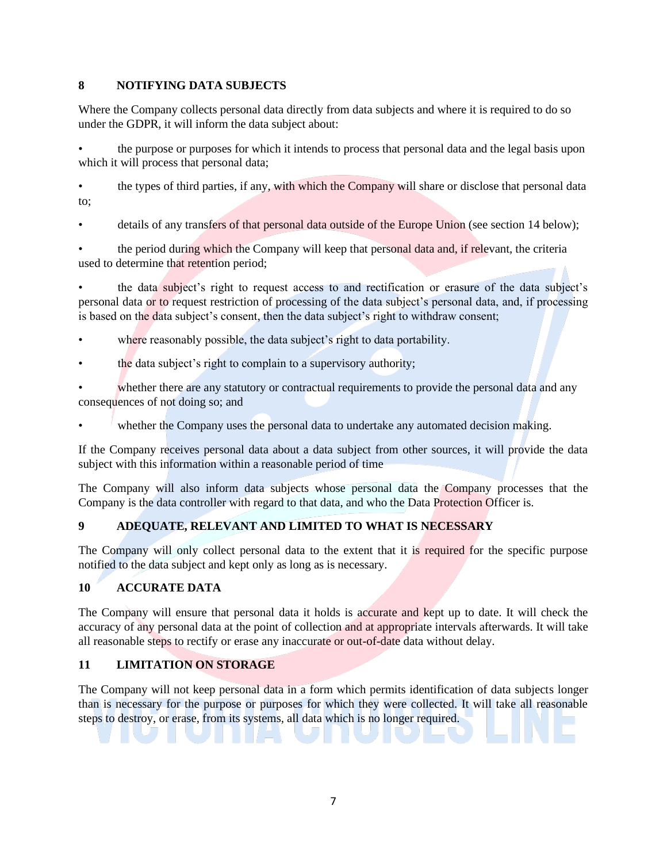#### **8 NOTIFYING DATA SUBJECTS**

Where the Company collects personal data directly from data subjects and where it is required to do so under the GDPR, it will inform the data subject about:

• the purpose or purposes for which it intends to process that personal data and the legal basis upon which it will process that personal data;

• the types of third parties, if any, with which the Company will share or disclose that personal data to;

details of any transfers of that personal data outside of the Europe Union (see section 14 below);

the period during which the Company will keep that personal data and, if relevant, the criteria used to determine that retention period;

• the data subject's right to request access to and rectification or erasure of the data subject's personal data or to request restriction of processing of the data subject's personal data, and, if processing is based on the data subject's consent, then the data subject's right to withdraw consent;

- where reasonably possible, the data subject's right to data portability.
- the data subject's right to complain to a supervisory authority;

whether there are any statutory or contractual requirements to provide the personal data and any consequences of not doing so; and

whether the Company uses the personal data to undertake any automated decision making.

If the Company receives personal data about a data subject from other sources, it will provide the data subject with this information within a reasonable period of time

The Company will also inform data subjects whose personal data the Company processes that the Company is the data controller with regard to that data, and who the Data Protection Officer is.

## **9 ADEQUATE, RELEVANT AND LIMITED TO WHAT IS NECESSARY**

The Company will only collect personal data to the extent that it is required for the specific purpose notified to the data subject and kept only as long as is necessary.

## **10 ACCURATE DATA**

The Company will ensure that personal data it holds is accurate and kept up to date. It will check the accuracy of any personal data at the point of collection and at appropriate intervals afterwards. It will take all reasonable steps to rectify or erase any inaccurate or out-of-date data without delay.

## **11 LIMITATION ON STORAGE**

The Company will not keep personal data in a form which permits identification of data subjects longer than is necessary for the purpose or purposes for which they were collected. It will take all reasonable steps to destroy, or erase, from its systems, all data which is no longer required.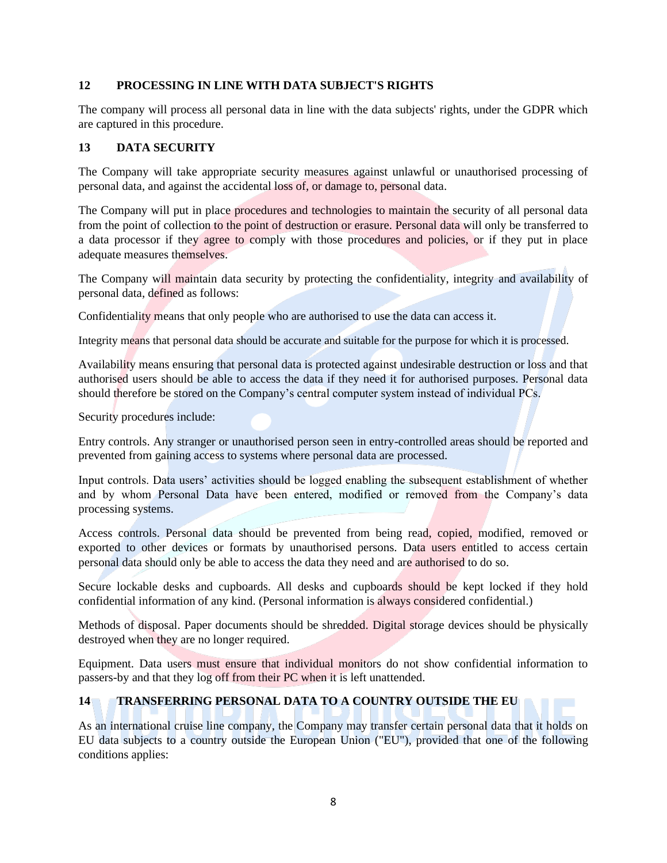#### **12 PROCESSING IN LINE WITH DATA SUBJECT'S RIGHTS**

The company will process all personal data in line with the data subjects' rights, under the GDPR which are captured in this procedure.

#### **13 DATA SECURITY**

The Company will take appropriate security measures against unlawful or unauthorised processing of personal data, and against the accidental loss of, or damage to, personal data.

The Company will put in place procedures and technologies to maintain the security of all personal data from the point of collection to the point of destruction or erasure. Personal data will only be transferred to a data processor if they agree to comply with those procedures and policies, or if they put in place adequate measures themselves.

The Company will maintain data security by protecting the confidentiality, integrity and availability of personal data, defined as follows:

Confidentiality means that only people who are authorised to use the data can access it.

Integrity means that personal data should be accurate and suitable for the purpose for which it is processed.

Availability means ensuring that personal data is protected against undesirable destruction or loss and that authorised users should be able to access the data if they need it for authorised purposes. Personal data should therefore be stored on the Company's central computer system instead of individual PCs.

Security procedures include:

Entry controls. Any stranger or unauthorised person seen in entry-controlled areas should be reported and prevented from gaining access to systems where personal data are processed.

Input controls. Data users' activities should be logged enabling the subsequent establishment of whether and by whom Personal Data have been entered, modified or removed from the Company's data processing systems.

Access controls. Personal data should be prevented from being read, copied, modified, removed or exported to other devices or formats by unauthorised persons. Data users entitled to access certain personal data should only be able to access the data they need and are authorised to do so.

Secure lockable desks and cupboards. All desks and cupboards should be kept locked if they hold confidential information of any kind. (Personal information is always considered confidential.)

Methods of disposal. Paper documents should be shredded. Digital storage devices should be physically destroyed when they are no longer required.

Equipment. Data users must ensure that individual monitors do not show confidential information to passers-by and that they log off from their PC when it is left unattended.

#### **14 TRANSFERRING PERSONAL DATA TO A COUNTRY OUTSIDE THE EU**

As an international cruise line company, the Company may transfer certain personal data that it holds on EU data subjects to a country outside the European Union ("EU"), provided that one of the following conditions applies: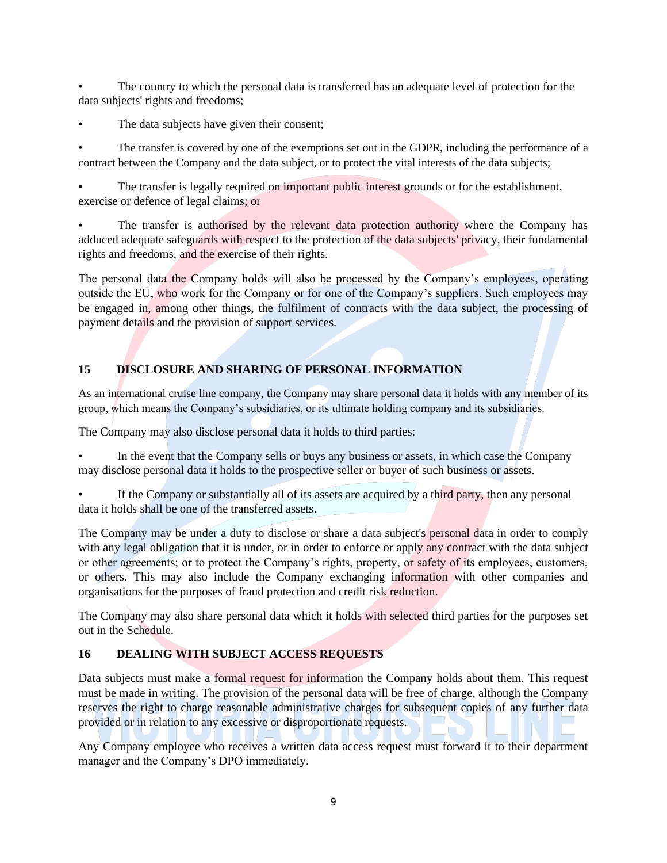The country to which the personal data is transferred has an adequate level of protection for the data subjects' rights and freedoms;

The data subjects have given their consent;

The transfer is covered by one of the exemptions set out in the GDPR, including the performance of a contract between the Company and the data subject, or to protect the vital interests of the data subjects;

The transfer is legally required on important public interest grounds or for the establishment, exercise or defence of legal claims; or

The transfer is authorised by the relevant data protection authority where the Company has adduced adequate safeguards with respect to the protection of the data subjects' privacy, their fundamental rights and freedoms, and the exercise of their rights.

The personal data the Company holds will also be processed by the Company's employees, operating outside the EU, who work for the Company or for one of the Company's suppliers. Such employees may be engaged in, among other things, the fulfilment of contracts with the data subject, the processing of payment details and the provision of support services.

## **15 DISCLOSURE AND SHARING OF PERSONAL INFORMATION**

As an international cruise line company, the Company may share personal data it holds with any member of its group, which means the Company's subsidiaries, or its ultimate holding company and its subsidiaries.

The Company may also disclose personal data it holds to third parties:

• In the event that the Company sells or buys any business or assets, in which case the Company may disclose personal data it holds to the prospective seller or buyer of such business or assets.

If the Company or substantially all of its assets are acquired by a third party, then any personal data it holds shall be one of the transferred assets.

The Company may be under a duty to disclose or share a data subject's personal data in order to comply with any legal obligation that it is under, or in order to enforce or apply any contract with the data subject or other agreements; or to protect the Company's rights, property, or safety of its employees, customers, or others. This may also include the Company exchanging information with other companies and organisations for the purposes of fraud protection and credit risk reduction.

The Company may also share personal data which it holds with selected third parties for the purposes set out in the Schedule.

## **16 DEALING WITH SUBJECT ACCESS REQUESTS**

Data subjects must make a formal request for information the Company holds about them. This request must be made in writing. The provision of the personal data will be free of charge, although the Company reserves the right to charge reasonable administrative charges for subsequent copies of any further data provided or in relation to any excessive or disproportionate requests.

Any Company employee who receives a written data access request must forward it to their department manager and the Company's DPO immediately.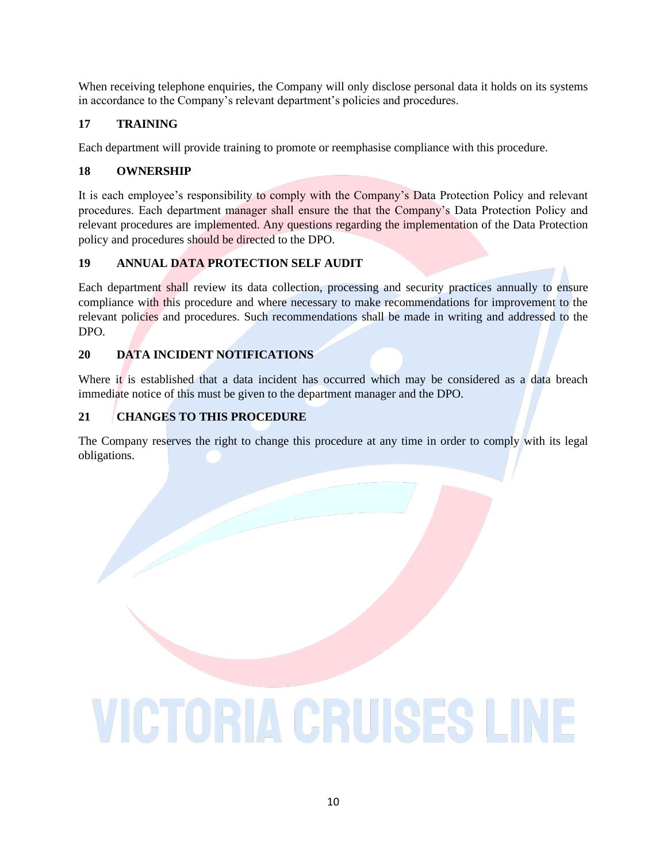When receiving telephone enquiries, the Company will only disclose personal data it holds on its systems in accordance to the Company's relevant department's policies and procedures.

## **17 TRAINING**

Each department will provide training to promote or reemphasise compliance with this procedure.

## **18 OWNERSHIP**

It is each employee's responsibility to comply with the Company's Data Protection Policy and relevant procedures. Each department manager shall ensure the that the Company's Data Protection Policy and relevant procedures are implemented. Any questions regarding the implementation of the Data Protection policy and procedures should be directed to the DPO.

## **19 ANNUAL DATA PROTECTION SELF AUDIT**

Each department shall review its data collection, processing and security practices annually to ensure compliance with this procedure and where necessary to make recommendations for improvement to the relevant policies and procedures. Such recommendations shall be made in writing and addressed to the DPO.

## **20 DATA INCIDENT NOTIFICATIONS**

Where it is established that a data incident has occurred which may be considered as a data breach immediate notice of this must be given to the department manager and the DPO.

## **21 CHANGES TO THIS PROCEDURE**

The Company reserves the right to change this procedure at any time in order to comply with its legal obligations.

# **VICTORIA CRUISES LINE**